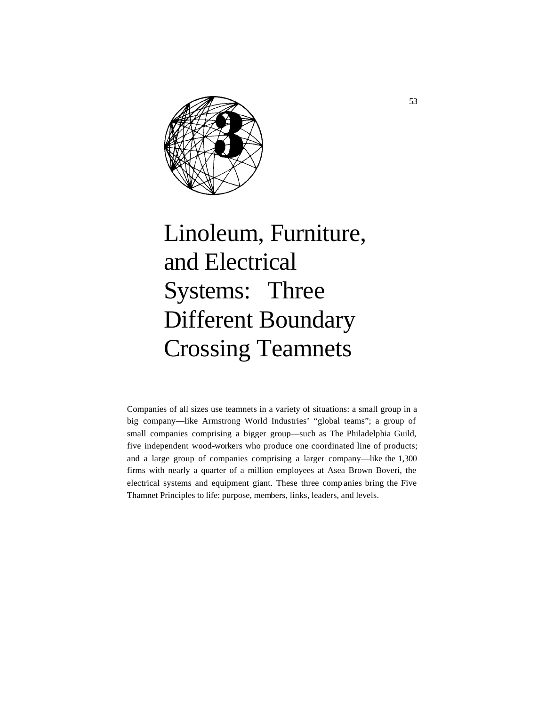

# Linoleum, Furniture, and Electrical Systems: Three Different Boundary Crossing Teamnets

Companies of all sizes use teamnets in a variety of situations: a small group in a big company—like Armstrong World Industries' "global teams"; a group of small companies comprising a bigger group—such as The Philadelphia Guild, five independent wood-workers who produce one coordinated line of products; and a large group of companies comprising a larger company—like the 1,300 firms with nearly a quarter of a million employees at Asea Brown Boveri, the electrical systems and equipment giant. These three comp anies bring the Five Thamnet Principles to life: purpose, members, links, leaders, and levels.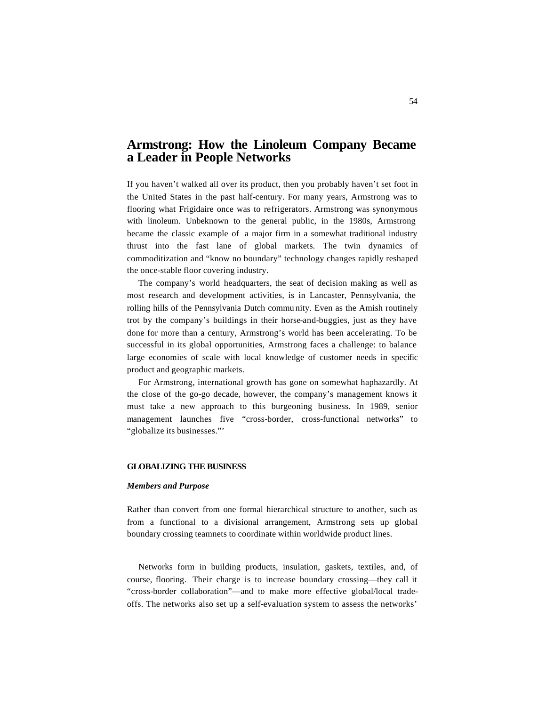# **Armstrong: How the Linoleum Company Became a Leader in People Networks**

If you haven't walked all over its product, then you probably haven't set foot in the United States in the past half-century. For many years, Armstrong was to flooring what Frigidaire once was to refrigerators. Armstrong was synonymous with linoleum. Unbeknown to the general public, in the 1980s, Armstrong became the classic example of a major firm in a somewhat traditional industry thrust into the fast lane of global markets. The twin dynamics of commoditization and "know no boundary" technology changes rapidly reshaped the once-stable floor covering industry.

The company's world headquarters, the seat of decision making as well as most research and development activities, is in Lancaster, Pennsylvania, the rolling hills of the Pennsylvania Dutch commu nity. Even as the Amish routinely trot by the company's buildings in their horse-and-buggies, just as they have done for more than a century, Armstrong's world has been accelerating. To be successful in its global opportunities, Armstrong faces a challenge: to balance large economies of scale with local knowledge of customer needs in specific product and geographic markets.

For Armstrong, international growth has gone on somewhat haphazardly. At the close of the go-go decade, however, the company's management knows it must take a new approach to this burgeoning business. In 1989, senior management launches five "cross-border, cross-functional networks" to "globalize its businesses."'

#### **GLOBALIZING THE BUSINESS**

#### *Members and Purpose*

Rather than convert from one formal hierarchical structure to another, such as from a functional to a divisional arrangement, Armstrong sets up global boundary crossing teamnets to coordinate within worldwide product lines.

Networks form in building products, insulation, gaskets, textiles, and, of course, flooring. Their charge is to increase boundary crossing—they call it "cross-border collaboration"—and to make more effective global/local tradeoffs. The networks also set up a self-evaluation system to assess the networks'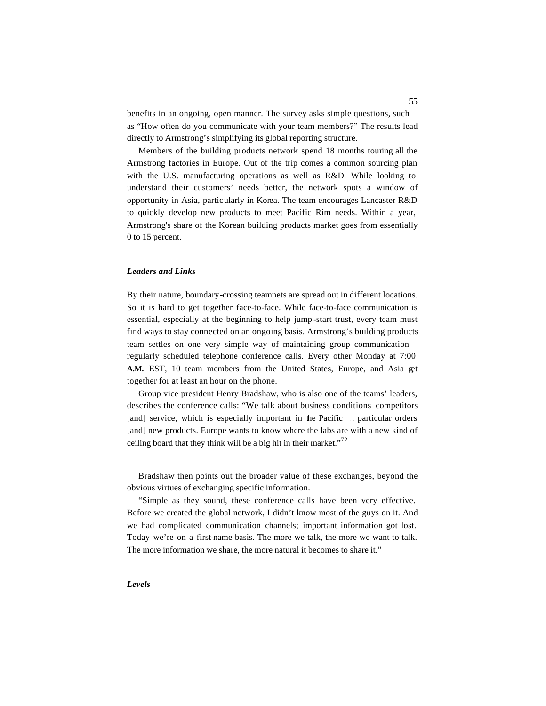benefits in an ongoing, open manner. The survey asks simple questions, such as "How often do you communicate with your team members?" The results lead directly to Armstrong's simplifying its global reporting structure.

Members of the building products network spend 18 months touring all the Armstrong factories in Europe. Out of the trip comes a common sourcing plan with the U.S. manufacturing operations as well as R&D. While looking to understand their customers' needs better, the network spots a window of opportunity in Asia, particularly in Korea. The team encourages Lancaster R&D to quickly develop new products to meet Pacific Rim needs. Within a year, Armstrong's share of the Korean building products market goes from essentially 0 to 15 percent.

# *Leaders and Links*

By their nature, boundary-crossing teamnets are spread out in different locations. So it is hard to get together face-to-face. While face-to-face communication is essential, especially at the beginning to help jump -start trust, every team must find ways to stay connected on an ongoing basis. Armstrong's building products team settles on one very simple way of maintaining group communication regularly scheduled telephone conference calls. Every other Monday at 7:00 **A.M.** EST, 10 team members from the United States, Europe, and Asia get together for at least an hour on the phone.

Group vice president Henry Bradshaw, who is also one of the teams' leaders, describes the conference calls: "We talk about business conditions competitors [and] service, which is especially important in the Pacific ... particular orders [and] new products. Europe wants to know where the labs are with a new kind of ceiling board that they think will be a big hit in their market."<sup>72</sup>

Bradshaw then points out the broader value of these exchanges, beyond the obvious virtues of exchanging specific information.

"Simple as they sound, these conference calls have been very effective. Before we created the global network, I didn't know most of the guys on it. And we had complicated communication channels; important information got lost. Today we're on a first-name basis. The more we talk, the more we want to talk. The more information we share, the more natural it becomes to share it."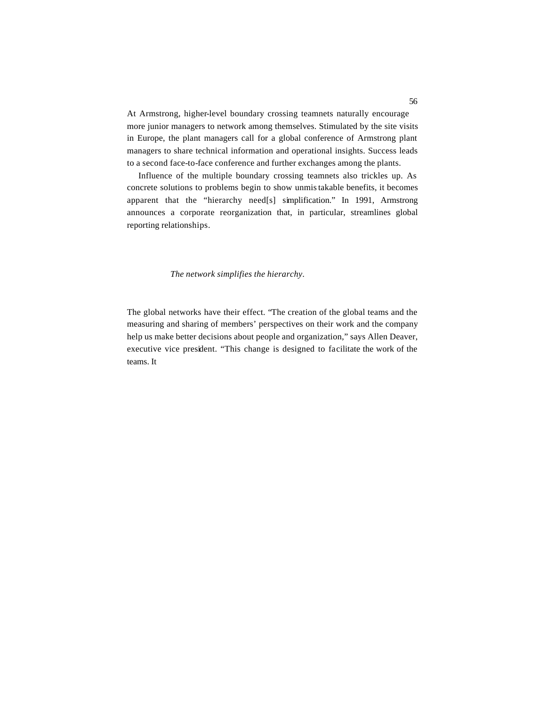At Armstrong, higher-level boundary crossing teamnets naturally encourage more junior managers to network among themselves. Stimulated by the site visits in Europe, the plant managers call for a global conference of Armstrong plant managers to share technical information and operational insights. Success leads to a second face-to-face conference and further exchanges among the plants.

Influence of the multiple boundary crossing teamnets also trickles up. As concrete solutions to problems begin to show unmistakable benefits, it becomes apparent that the "hierarchy need[s] simplification." In 1991, Armstrong announces a corporate reorganization that, in particular, streamlines global reporting relationships.

# *The network simplifies the hierarchy.*

The global networks have their effect. "The creation of the global teams and the measuring and sharing of members' perspectives on their work and the company help us make better decisions about people and organization," says Allen Deaver, executive vice president. "This change is designed to facilitate the work of the teams. It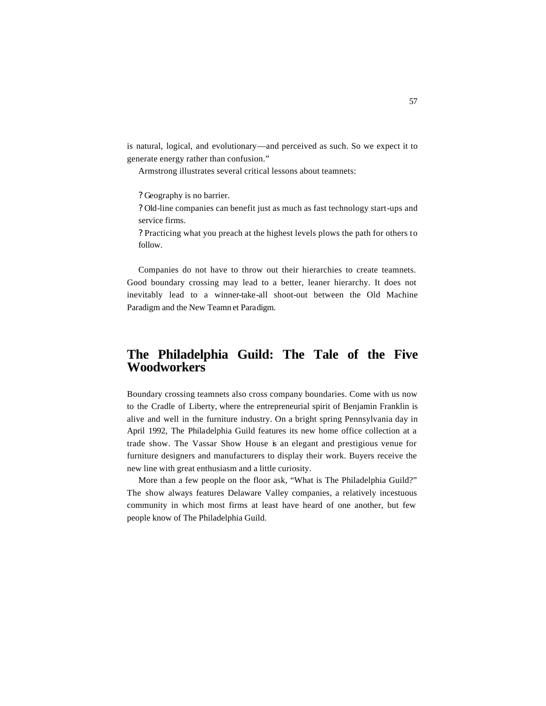is natural, logical, and evolutionary—and perceived as such. So we expect it to generate energy rather than confusion."

Armstrong illustrates several critical lessons about teamnets:

? Geography is no barrier.

? Old-line companies can benefit just as much as fast technology start-ups and service firms.

? Practicing what you preach at the highest levels plows the path for others to follow.

Companies do not have to throw out their hierarchies to create teamnets. Good boundary crossing may lead to a better, leaner hierarchy. It does not inevitably lead to a winner-take-all shoot-out between the Old Machine Paradigm and the New Teamn et Paradigm.

# **The Philadelphia Guild: The Tale of the Five Woodworkers**

Boundary crossing teamnets also cross company boundaries. Come with us now to the Cradle of Liberty, where the entrepreneurial spirit of Benjamin Franklin is alive and well in the furniture industry. On a bright spring Pennsylvania day in April 1992, The Philadelphia Guild features its new home office collection at a trade show. The Vassar Show House is an elegant and prestigious venue for furniture designers and manufacturers to display their work. Buyers receive the new line with great enthusiasm and a little curiosity.

More than a few people on the floor ask, "What is The Philadelphia Guild?" The show always features Delaware Valley companies, a relatively incestuous community in which most firms at least have heard of one another, but few people know of The Philadelphia Guild.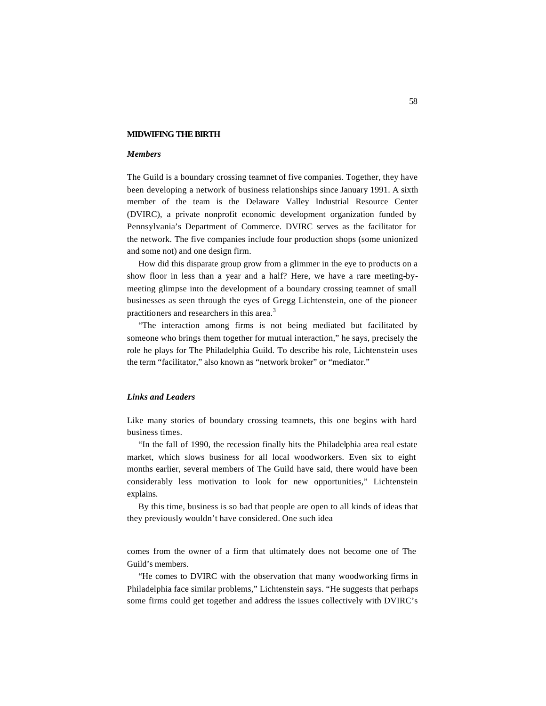#### **MIDWIFING THE BIRTH**

#### *Members*

The Guild is a boundary crossing teamnet of five companies. Together, they have been developing a network of business relationships since January 1991. A sixth member of the team is the Delaware Valley Industrial Resource Center (DVIRC), a private nonprofit economic development organization funded by Pennsylvania's Department of Commerce. DVIRC serves as the facilitator for the network. The five companies include four production shops (some unionized and some not) and one design firm.

How did this disparate group grow from a glimmer in the eye to products on a show floor in less than a year and a half? Here, we have a rare meeting-bymeeting glimpse into the development of a boundary crossing teamnet of small businesses as seen through the eyes of Gregg Lichtenstein, one of the pioneer practitioners and researchers in this area.<sup>3</sup>

"The interaction among firms is not being mediated but facilitated by someone who brings them together for mutual interaction," he says, precisely the role he plays for The Philadelphia Guild. To describe his role, Lichtenstein uses the term "facilitator," also known as "network broker" or "mediator."

## *Links and Leaders*

Like many stories of boundary crossing teamnets, this one begins with hard business times.

"In the fall of 1990, the recession finally hits the Philadelphia area real estate market, which slows business for all local woodworkers. Even six to eight months earlier, several members of The Guild have said, there would have been considerably less motivation to look for new opportunities," Lichtenstein explains.

By this time, business is so bad that people are open to all kinds of ideas that they previously wouldn't have considered. One such idea

comes from the owner of a firm that ultimately does not become one of The Guild's members.

"He comes to DVIRC with the observation that many woodworking firms in Philadelphia face similar problems," Lichtenstein says. "He suggests that perhaps some firms could get together and address the issues collectively with DVIRC's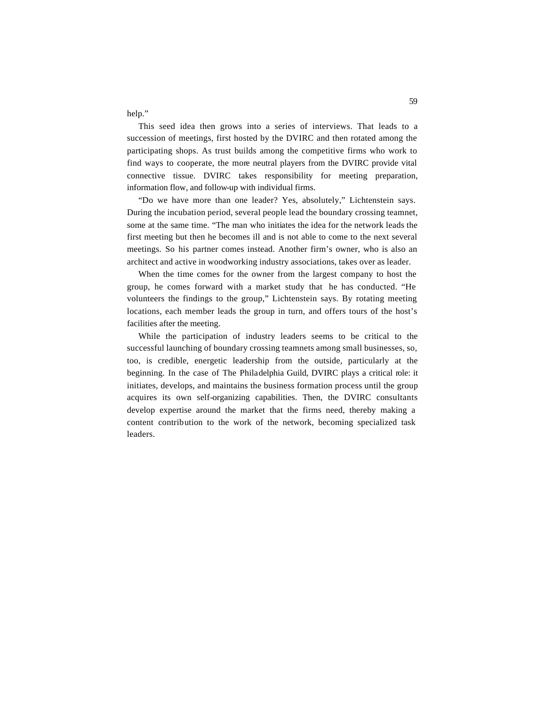help."

This seed idea then grows into a series of interviews. That leads to a succession of meetings, first hosted by the DVIRC and then rotated among the participating shops. As trust builds among the competitive firms who work to find ways to cooperate, the more neutral players from the DVIRC provide vital connective tissue. DVIRC takes responsibility for meeting preparation, information flow, and follow-up with individual firms.

"Do we have more than one leader? Yes, absolutely," Lichtenstein says. During the incubation period, several people lead the boundary crossing teamnet, some at the same time. "The man who initiates the idea for the network leads the first meeting but then he becomes ill and is not able to come to the next several meetings. So his partner comes instead. Another firm's owner, who is also an architect and active in woodworking industry associations, takes over as leader.

When the time comes for the owner from the largest company to host the group, he comes forward with a market study that he has conducted. "He volunteers the findings to the group," Lichtenstein says. By rotating meeting locations, each member leads the group in turn, and offers tours of the host's facilities after the meeting.

While the participation of industry leaders seems to be critical to the successful launching of boundary crossing teamnets among small businesses, so, too, is credible, energetic leadership from the outside, particularly at the beginning. In the case of The Philadelphia Guild, DVIRC plays a critical role: it initiates, develops, and maintains the business formation process until the group acquires its own self-organizing capabilities. Then, the DVIRC consultants develop expertise around the market that the firms need, thereby making a content contribution to the work of the network, becoming specialized task leaders.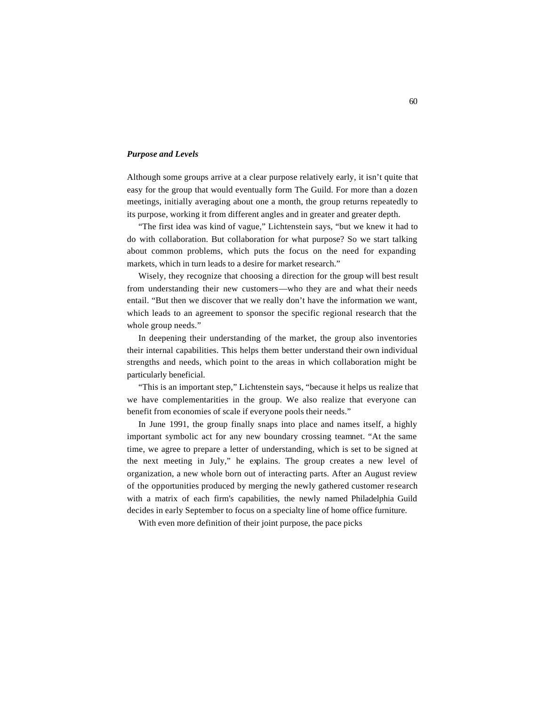#### *Purpose and Levels*

Although some groups arrive at a clear purpose relatively early, it isn't quite that easy for the group that would eventually form The Guild. For more than a dozen meetings, initially averaging about one a month, the group returns repeatedly to its purpose, working it from different angles and in greater and greater depth.

"The first idea was kind of vague," Lichtenstein says, "but we knew it had to do with collaboration. But collaboration for what purpose? So we start talking about common problems, which puts the focus on the need for expanding markets, which in turn leads to a desire for market research."

Wisely, they recognize that choosing a direction for the group will best result from understanding their new customers—who they are and what their needs entail. "But then we discover that we really don't have the information we want, which leads to an agreement to sponsor the specific regional research that the whole group needs."

In deepening their understanding of the market, the group also inventories their internal capabilities. This helps them better understand their own individual strengths and needs, which point to the areas in which collaboration might be particularly beneficial.

"This is an important step," Lichtenstein says, "because it helps us realize that we have complementarities in the group. We also realize that everyone can benefit from economies of scale if everyone pools their needs."

In June 1991, the group finally snaps into place and names itself, a highly important symbolic act for any new boundary crossing teamnet. "At the same time, we agree to prepare a letter of understanding, which is set to be signed at the next meeting in July," he explains. The group creates a new level of organization, a new whole born out of interacting parts. After an August review of the opportunities produced by merging the newly gathered customer research with a matrix of each firm's capabilities, the newly named Philadelphia Guild decides in early September to focus on a specialty line of home office furniture.

With even more definition of their joint purpose, the pace picks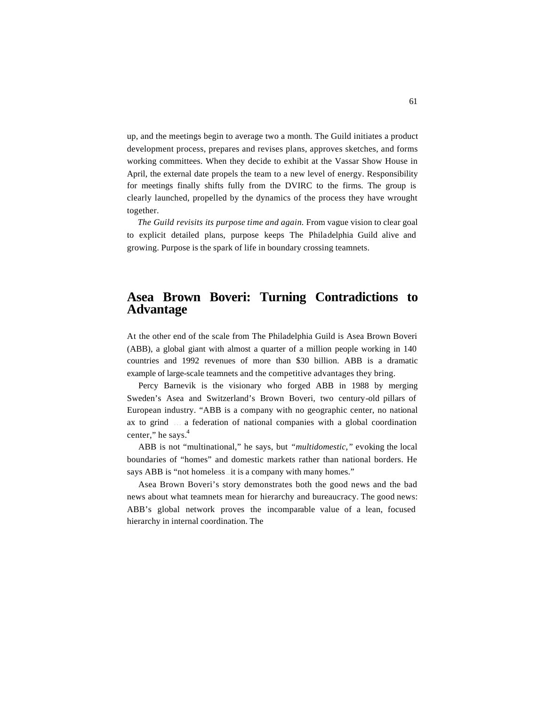up, and the meetings begin to average two a month. The Guild initiates a product development process, prepares and revises plans, approves sketches, and forms working committees. When they decide to exhibit at the Vassar Show House in April, the external date propels the team to a new level of energy. Responsibility for meetings finally shifts fully from the DVIRC to the firms. The group is clearly launched, propelled by the dynamics of the process they have wrought together.

*The Guild revisits its purpose time and again.* From vague vision to clear goal to explicit detailed plans, purpose keeps The Philadelphia Guild alive and growing. Purpose is the spark of life in boundary crossing teamnets.

# **Asea Brown Boveri: Turning Contradictions to Advantage**

At the other end of the scale from The Philadelphia Guild is Asea Brown Boveri (ABB), a global giant with almost a quarter of a million people working in 140 countries and 1992 revenues of more than \$30 billion. ABB is a dramatic example of large-scale teamnets and the competitive advantages they bring.

Percy Barnevik is the visionary who forged ABB in 1988 by merging Sweden's Asea and Switzerland's Brown Boveri, two century-old pillars of European industry. "ABB is a company with no geographic center, no national ax to grind ... a federation of national companies with a global coordination center," he says.<sup>4</sup>

ABB is not "multinational," he says, but *"multidomestic,"* evoking the local boundaries of "homes" and domestic markets rather than national borders. He says ABB is "not homeless ... it is a company with many homes."

Asea Brown Boveri's story demonstrates both the good news and the bad news about what teamnets mean for hierarchy and bureaucracy. The good news: ABB's global network proves the incomparable value of a lean, focused hierarchy in internal coordination. The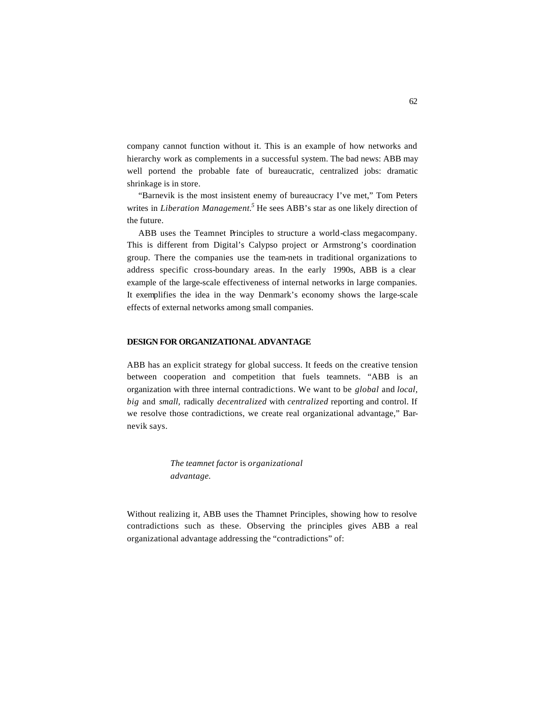company cannot function without it. This is an example of how networks and hierarchy work as complements in a successful system. The bad news: ABB may well portend the probable fate of bureaucratic, centralized jobs: dramatic shrinkage is in store.

"Barnevik is the most insistent enemy of bureaucracy I've met," Tom Peters writes in *Liberation Management*.<sup>5</sup> He sees ABB's star as one likely direction of the future.

ABB uses the Teamnet Principles to structure a world-class megacompany. This is different from Digital's Calypso project or Armstrong's coordination group. There the companies use the team-nets in traditional organizations to address specific cross-boundary areas. In the early 1990s, ABB is a clear example of the large-scale effectiveness of internal networks in large companies. It exemplifies the idea in the way Denmark's economy shows the large-scale effects of external networks among small companies.

#### **DESIGN FOR ORGANIZATIONAL ADVANTAGE**

ABB has an explicit strategy for global success. It feeds on the creative tension between cooperation and competition that fuels teamnets. "ABB is an organization with three internal contradictions. We want to be *global* and *local, big* and *small,* radically *decentralized* with *centralized* reporting and control. If we resolve those contradictions, we create real organizational advantage," Barnevik says.

> *The teamnet factor* is *organizational advantage.*

Without realizing it, ABB uses the Thamnet Principles, showing how to resolve contradictions such as these. Observing the principles gives ABB a real organizational advantage addressing the "contradictions" of: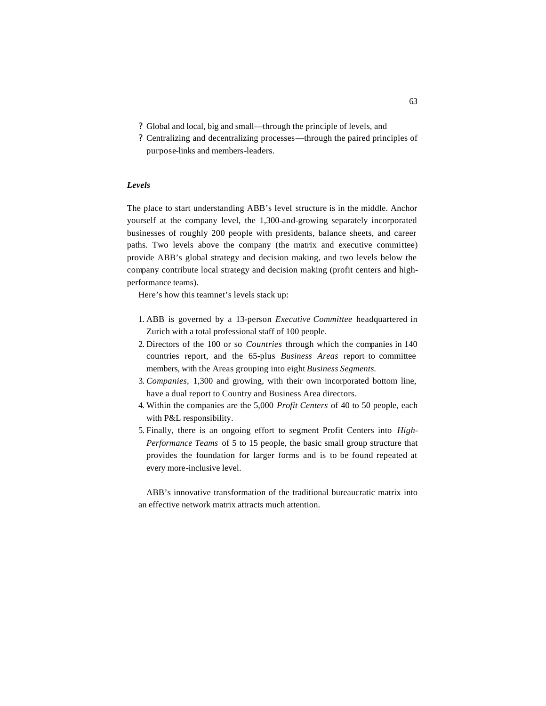- ? Global and local, big and small—through the principle of levels, and
- ? Centralizing and decentralizing processes—through the paired principles of purpose-links and members-leaders.

# *Levels*

The place to start understanding ABB's level structure is in the middle. Anchor yourself at the company level, the 1,300-and-growing separately incorporated businesses of roughly 200 people with presidents, balance sheets, and career paths. Two levels above the company (the matrix and executive committee) provide ABB's global strategy and decision making, and two levels below the company contribute local strategy and decision making (profit centers and highperformance teams).

Here's how this teamnet's levels stack up:

- 1. ABB is governed by a 13-person *Executive Committee* headquartered in Zurich with a total professional staff of 100 people.
- 2. Directors of the 100 or so *Countries* through which the companies in 140 countries report, and the 65-plus *Business Areas* report to committee members, with the Areas grouping into eight *Business Segments.*
- 3. *Companies,* 1,300 and growing, with their own incorporated bottom line, have a dual report to Country and Business Area directors.
- 4. Within the companies are the 5,000 *Profit Centers* of 40 to 50 people, each with P&L responsibility.
- 5. Finally, there is an ongoing effort to segment Profit Centers into *High-Performance Teams* of 5 to 15 people, the basic small group structure that provides the foundation for larger forms and is to be found repeated at every more-inclusive level.

ABB's innovative transformation of the traditional bureaucratic matrix into an effective network matrix attracts much attention.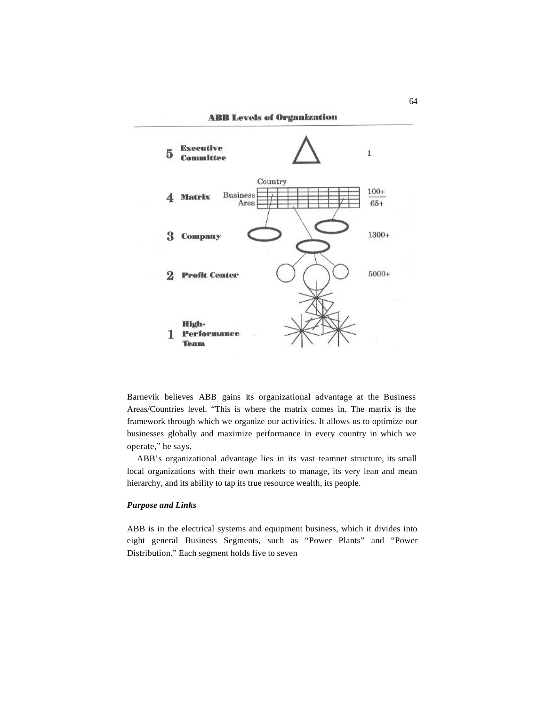

Barnevik believes ABB gains its organizational advantage at the Business Areas/Countries level. "This is where the matrix comes in. The matrix is the framework through which we organize our activities. It allows us to optimize our businesses globally and maximize performance in every country in which we operate," he says.

ABB's organizational advantage lies in its vast teamnet structure, its small local organizations with their own markets to manage, its very lean and mean hierarchy, and its ability to tap its true resource wealth, its people.

## *Purpose and Links*

ABB is in the electrical systems and equipment business, which it divides into eight general Business Segments, such as "Power Plants" and "Power Distribution." Each segment holds five to seven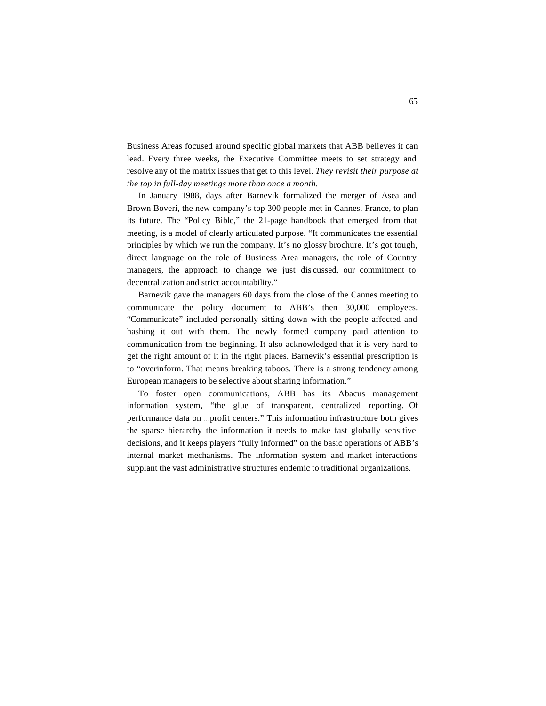Business Areas focused around specific global markets that ABB believes it can lead. Every three weeks, the Executive Committee meets to set strategy and resolve any of the matrix issues that get to this level. *They revisit their purpose at the top in full-day meetings more than once a month.*

In January 1988, days after Barnevik formalized the merger of Asea and Brown Boveri, the new company's top 300 people met in Cannes, France, to plan its future. The "Policy Bible," the 21-page handbook that emerged from that meeting, is a model of clearly articulated purpose. "It communicates the essential principles by which we run the company. It's no glossy brochure. It's got tough, direct language on the role of Business Area managers, the role of Country managers, the approach to change we just dis cussed, our commitment to decentralization and strict accountability."

Barnevik gave the managers 60 days from the close of the Cannes meeting to communicate the policy document to ABB's then 30,000 employees. "Communicate" included personally sitting down with the people affected and hashing it out with them. The newly formed company paid attention to communication from the beginning. It also acknowledged that it is very hard to get the right amount of it in the right places. Barnevik's essential prescription is to "overinform. That means breaking taboos. There is a strong tendency among European managers to be selective about sharing information."

To foster open communications, ABB has its Abacus management information system, "the glue of transparent, centralized reporting. Of performance data on ... profit centers." This information infrastructure both gives the sparse hierarchy the information it needs to make fast globally sensitive decisions, and it keeps players "fully informed" on the basic operations of ABB's internal market mechanisms. The information system and market interactions supplant the vast administrative structures endemic to traditional organizations.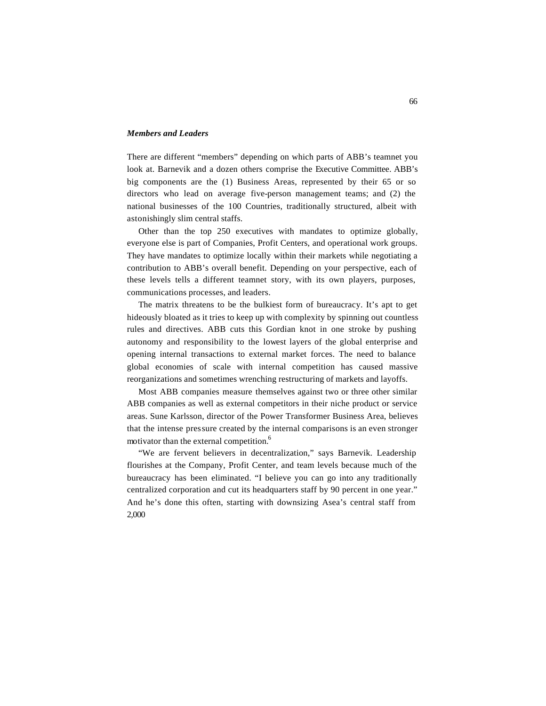#### *Members and Leaders*

There are different "members" depending on which parts of ABB's teamnet you look at. Barnevik and a dozen others comprise the Executive Committee. ABB's big components are the (1) Business Areas, represented by their 65 or so directors who lead on average five-person management teams; and (2) the national businesses of the 100 Countries, traditionally structured, albeit with astonishingly slim central staffs.

Other than the top 250 executives with mandates to optimize globally, everyone else is part of Companies, Profit Centers, and operational work groups. They have mandates to optimize locally within their markets while negotiating a contribution to ABB's overall benefit. Depending on your perspective, each of these levels tells a different teamnet story, with its own players, purposes, communications processes, and leaders.

The matrix threatens to be the bulkiest form of bureaucracy. It's apt to get hideously bloated as it tries to keep up with complexity by spinning out countless rules and directives. ABB cuts this Gordian knot in one stroke by pushing autonomy and responsibility to the lowest layers of the global enterprise and opening internal transactions to external market forces. The need to balance global economies of scale with internal competition has caused massive reorganizations and sometimes wrenching restructuring of markets and layoffs.

Most ABB companies measure themselves against two or three other similar ABB companies as well as external competitors in their niche product or service areas. Sune Karlsson, director of the Power Transformer Business Area, believes that the intense pressure created by the internal comparisons is an even stronger motivator than the external competition.<sup>6</sup>

"We are fervent believers in decentralization," says Barnevik. Leadership flourishes at the Company, Profit Center, and team levels because much of the bureaucracy has been eliminated. "I believe you can go into any traditionally centralized corporation and cut its headquarters staff by 90 percent in one year." And he's done this often, starting with downsizing Asea's central staff from 2,000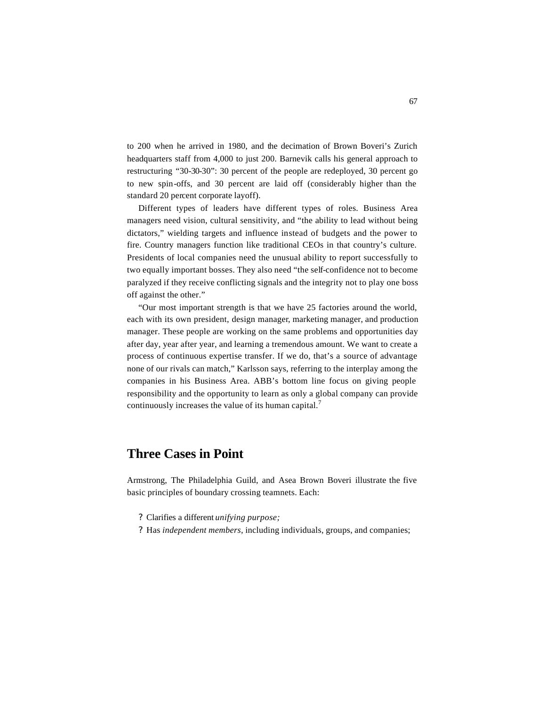to 200 when he arrived in 1980, and the decimation of Brown Boveri's Zurich headquarters staff from 4,000 to just 200. Barnevik calls his general approach to restructuring "30-30-30": 30 percent of the people are redeployed, 30 percent go to new spin-offs, and 30 percent are laid off (considerably higher than the standard 20 percent corporate layoff).

Different types of leaders have different types of roles. Business Area managers need vision, cultural sensitivity, and "the ability to lead without being dictators," wielding targets and influence instead of budgets and the power to fire. Country managers function like traditional CEOs in that country's culture. Presidents of local companies need the unusual ability to report successfully to two equally important bosses. They also need "the self-confidence not to become paralyzed if they receive conflicting signals and the integrity not to play one boss off against the other."

"Our most important strength is that we have 25 factories around the world, each with its own president, design manager, marketing manager, and production manager. These people are working on the same problems and opportunities day after day, year after year, and learning a tremendous amount. We want to create a process of continuous expertise transfer. If we do, that's a source of advantage none of our rivals can match," Karlsson says, referring to the interplay among the companies in his Business Area. ABB's bottom line focus on giving people responsibility and the opportunity to learn as only a global company can provide continuously increases the value of its human capital.<sup>7</sup>

# **Three Cases in Point**

Armstrong, The Philadelphia Guild, and Asea Brown Boveri illustrate the five basic principles of boundary crossing teamnets. Each:

- ? Clarifies a different *unifying purpose;*
- ? Has *independent members,* including individuals, groups, and companies;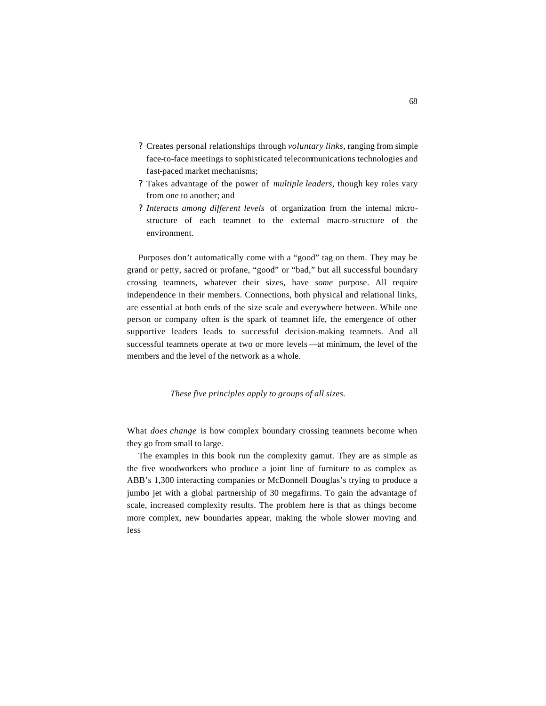- ? Creates personal relationships through *voluntary links,* ranging from simple face-to-face meetings to sophisticated telecommunications technologies and fast-paced market mechanisms;
- ? Takes advantage of the power of *multiple leaders,* though key roles vary from one to another; and
- *? Interacts among different levels* of organization from the internal microstructure of each teamnet to the external macro-structure of the environment.

Purposes don't automatically come with a "good" tag on them. They may be grand or petty, sacred or profane, "good" or "bad," but all successful boundary crossing teamnets, whatever their sizes, have *some* purpose. All require independence in their members. Connections, both physical and relational links, are essential at both ends of the size scale and everywhere between. While one person or company often is the spark of teamnet life, the emergence of other supportive leaders leads to successful decision-making teamnets. And all successful teamnets operate at two or more levels—at minimum, the level of the members and the level of the network as a whole.

## *These five principles apply to groups of all sizes.*

What *does change* is how complex boundary crossing teamnets become when they go from small to large.

The examples in this book run the complexity gamut. They are as simple as the five woodworkers who produce a joint line of furniture to as complex as ABB's 1,300 interacting companies or McDonnell Douglas's trying to produce a jumbo jet with a global partnership of 30 megafirms. To gain the advantage of scale, increased complexity results. The problem here is that as things become more complex, new boundaries appear, making the whole slower moving and less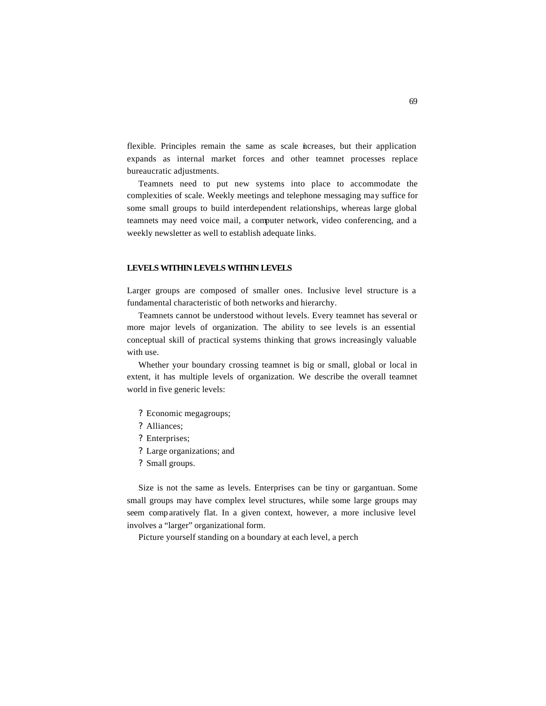flexible. Principles remain the same as scale increases, but their application expands as internal market forces and other teamnet processes replace bureaucratic adjustments.

Teamnets need to put new systems into place to accommodate the complexities of scale. Weekly meetings and telephone messaging may suffice for some small groups to build interdependent relationships, whereas large global teamnets may need voice mail, a computer network, video conferencing, and a weekly newsletter as well to establish adequate links.

#### **LEVELS WITHIN LEVELS WITHIN LEVELS**

Larger groups are composed of smaller ones. Inclusive level structure is a fundamental characteristic of both networks and hierarchy.

Teamnets cannot be understood without levels. Every teamnet has several or more major levels of organization. The ability to see levels is an essential conceptual skill of practical systems thinking that grows increasingly valuable with use.

Whether your boundary crossing teamnet is big or small, global or local in extent, it has multiple levels of organization. We describe the overall teamnet world in five generic levels:

- ? Economic megagroups;
- ? Alliances;
- ? Enterprises;
- ? Large organizations; and
- ? Small groups.

Size is not the same as levels. Enterprises can be tiny or gargantuan. Some small groups may have complex level structures, while some large groups may seem comp aratively flat. In a given context, however, a more inclusive level involves a "larger" organizational form.

Picture yourself standing on a boundary at each level, a perch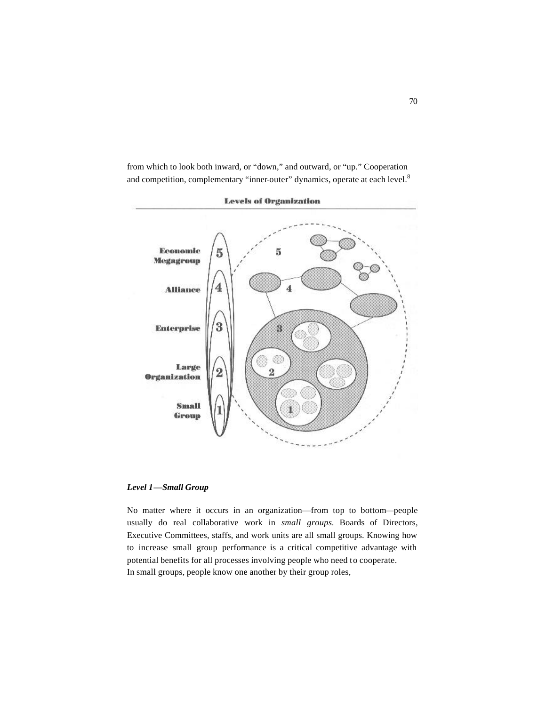

from which to look both inward, or "down," and outward, or "up." Cooperation and competition, complementary "inner-outer" dynamics, operate at each level.<sup>8</sup>

# *Level 1—Small Group*

No matter where it occurs in an organization—from top to bottom—people usually do real collaborative work in *small groups.* Boards of Directors, Executive Committees, staffs, and work units are all small groups. Knowing how to increase small group performance is a critical competitive advantage with potential benefits for all processes involving people who need to cooperate. In small groups, people know one another by their group roles,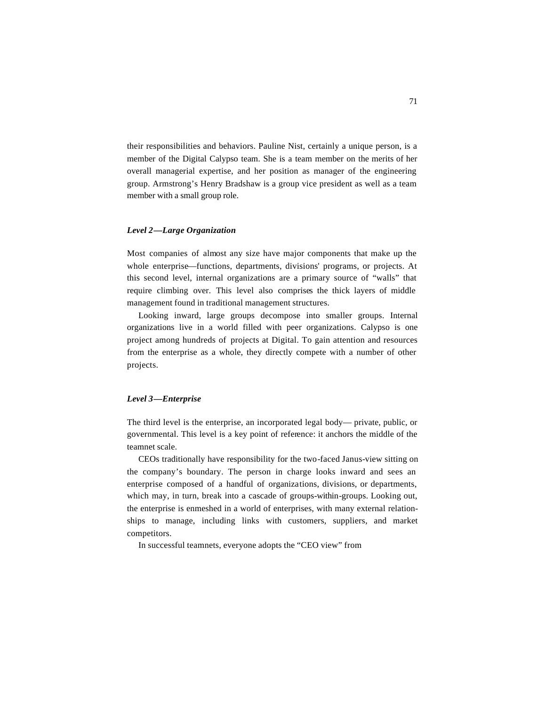their responsibilities and behaviors. Pauline Nist, certainly a unique person, is a member of the Digital Calypso team. She is a team member on the merits of her overall managerial expertise, and her position as manager of the engineering group. Armstrong's Henry Bradshaw is a group vice president as well as a team member with a small group role.

## *Level 2—Large Organization*

Most companies of almost any size have major components that make up the whole enterprise—functions, departments, divisions' programs, or projects. At this second level, internal organizations are a primary source of "walls" that require climbing over. This level also comprises the thick layers of middle management found in traditional management structures.

Looking inward, large groups decompose into smaller groups. Internal organizations live in a world filled with peer organizations. Calypso is one project among hundreds of projects at Digital. To gain attention and resources from the enterprise as a whole, they directly compete with a number of other projects.

#### *Level 3—Enterprise*

The third level is the enterprise, an incorporated legal body— private, public, or governmental. This level is a key point of reference: it anchors the middle of the teamnet scale.

CEOs traditionally have responsibility for the two-faced Janus-view sitting on the company's boundary. The person in charge looks inward and sees an enterprise composed of a handful of organizations, divisions, or departments, which may, in turn, break into a cascade of groups-within-groups. Looking out, the enterprise is enmeshed in a world of enterprises, with many external relationships to manage, including links with customers, suppliers, and market competitors.

In successful teamnets, everyone adopts the "CEO view" from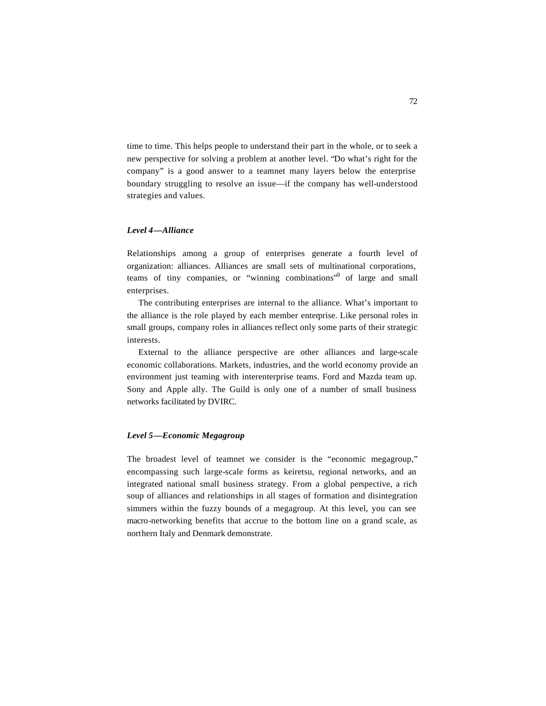time to time. This helps people to understand their part in the whole, or to seek a new perspective for solving a problem at another level. "Do what's right for the company" is a good answer to a teamnet many layers below the enterprise boundary struggling to resolve an issue—if the company has well-understood strategies and values.

# *Level 4—Alliance*

Relationships among a group of enterprises generate a fourth level of organization: alliances. Alliances are small sets of multinational corporations, teams of tiny companies, or "winning combinations" of large and small enterprises.

The contributing enterprises are internal to the alliance. What's important to the alliance is the role played by each member enterprise. Like personal roles in small groups, company roles in alliances reflect only some parts of their strategic interests.

External to the alliance perspective are other alliances and large-scale economic collaborations. Markets, industries, and the world economy provide an environment just teaming with interenterprise teams. Ford and Mazda team up. Sony and Apple ally. The Guild is only one of a number of small business networks facilitated by DVIRC.

### *Level 5—Economic Megagroup*

The broadest level of teamnet we consider is the "economic megagroup," encompassing such large-scale forms as keiretsu, regional networks, and an integrated national small business strategy. From a global perspective, a rich soup of alliances and relationships in all stages of formation and disintegration simmers within the fuzzy bounds of a megagroup. At this level, you can see macro-networking benefits that accrue to the bottom line on a grand scale, as northern Italy and Denmark demonstrate.